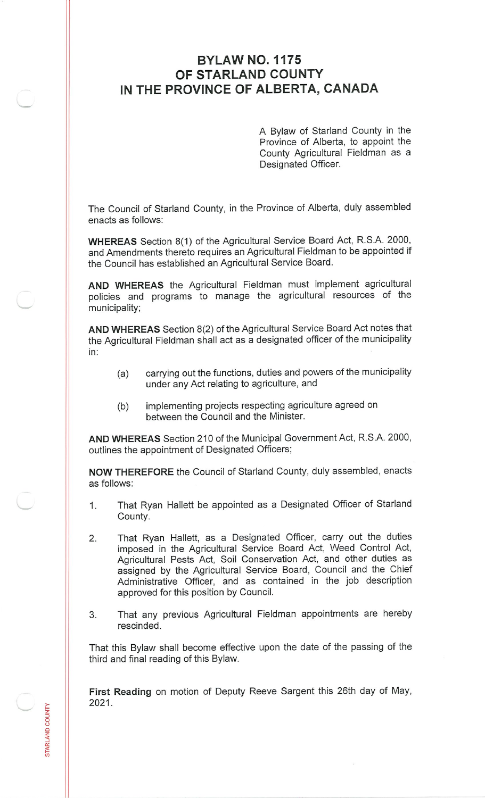## **BYLAW NO. 1175 OF STARLAND COUNTY IN THE PROVINCE OF ALBERTA, CANADA**

A Bylaw of Starland County in the Province of Alberta, to appoint the County Agricultural Fieldman as <sup>a</sup> Designated Officer.

The Council of Starland County, in the Province of Alberta, duly assembled enacts as follows:

**WHEREAS** Section 8(1) of the Agricultural Service Board Act, R.S.A. <sup>2000</sup>, and Amendments thereto requires an Agricultural Fieldman to be appointed if the Council has established an Agricultural Service Board.

**AND WHEREAS** the Agricultural Fieldman must implement agricultural policies and programs to manage the agricultural resources of the municipality;

**AND WHEREAS** Section <sup>8</sup>(2) of the Agricultural Service Board Act notes that the Agricultural Fieldman shall act as <sup>a</sup> designated officer of the municipality in:

- (a) carrying out the functions, duties and powers of the municipality under any Act relating to agriculture, and
- (b) implementing projects respecting agriculture agreed on between the Council and the Minister.

**AND WHEREAS** Section 210 of the Municipal Government Act, R.S.A. 2000, outlines the appointment of Designated Officers;

**NOW THEREFORE** the Council of Starland County, duly assembled, enacts as follows:

- That Ryan Hallett be appointed as <sup>a</sup> Designated Officer of Starland County. 1**.**
- That Ryan Hallett, as <sup>a</sup> Designated Officer, carry out the duties imposed in the Agricultural Service Board Act, Weed Control Act, Agricultural Pests Act, Soil Conservation Act, and other duties as assigned by the Agricultural Service Board, Council and the Chief Administrative Officer, and as contained in the job description approved for this position by Council. 2**.**
- That any previous Agricultural Fieldman appointments are hereby rescinded. 3.

That this Bylaw shall become effective upon the date of the passing of the third and final reading of this Bylaw.

**First Reading** on motion of Deputy Reeve Sargent this 26th day of May, 2021**.**

D COUNTY

 $\sigma$